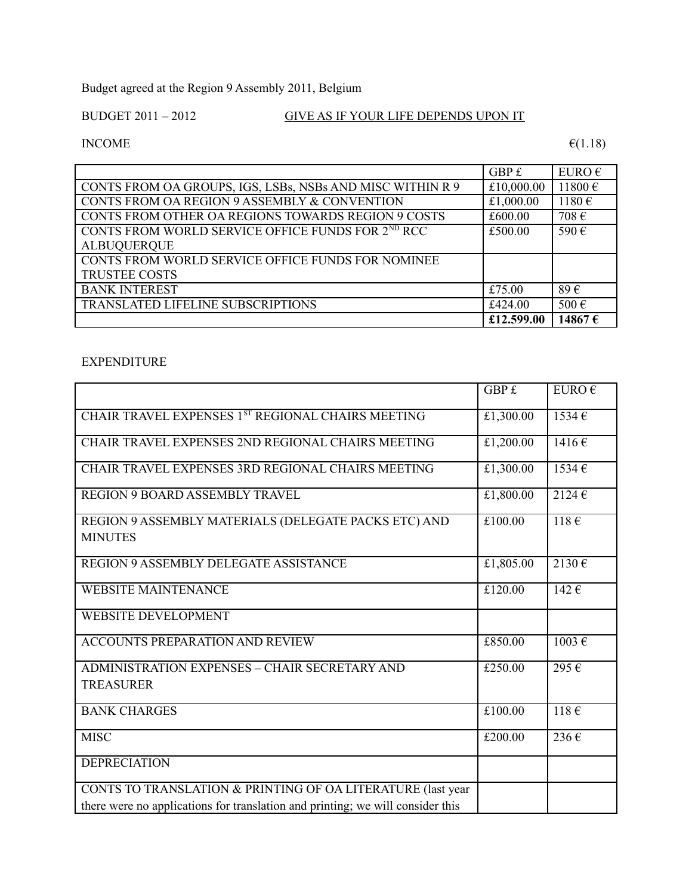Budget agreed at the Region 9 Assembly 2011, Belgium

## BUDGET 2011 – 2012 GIVE AS IF YOUR LIFE DEPENDS UPON IT

INCOME  $\epsilon$ (1.18)

|                                                           | GBP £      | EURO $\epsilon$ |
|-----------------------------------------------------------|------------|-----------------|
| CONTS FROM OA GROUPS, IGS, LSBs, NSBs AND MISC WITHIN R 9 | £10,000.00 | $11800 \in$     |
| CONTS FROM OA REGION 9 ASSEMBLY & CONVENTION              | £1,000.00  | 1180€           |
| CONTS FROM OTHER OA REGIONS TOWARDS REGION 9 COSTS        | £600.00    | 708€            |
| CONTS FROM WORLD SERVICE OFFICE FUNDS FOR 2ND RCC         | £500.00    | 590€            |
| <b>ALBUQUERQUE</b>                                        |            |                 |
| CONTS FROM WORLD SERVICE OFFICE FUNDS FOR NOMINEE         |            |                 |
| <b>TRUSTEE COSTS</b>                                      |            |                 |
| <b>BANK INTEREST</b>                                      | £75.00     | 89€             |
| TRANSLATED LIFELINE SUBSCRIPTIONS                         | £424.00    | 500€            |
|                                                           | £12.599.00 | 14867€          |

## EXPENDITURE

|                                                                                | GBP £     | EURO $\epsilon$ |
|--------------------------------------------------------------------------------|-----------|-----------------|
| CHAIR TRAVEL EXPENSES 1ST REGIONAL CHAIRS MEETING                              | £1,300.00 | $1534 \in$      |
| CHAIR TRAVEL EXPENSES 2ND REGIONAL CHAIRS MEETING                              | £1,200.00 | 1416€           |
| CHAIR TRAVEL EXPENSES 3RD REGIONAL CHAIRS MEETING                              | £1,300.00 | 1534€           |
| <b>REGION 9 BOARD ASSEMBLY TRAVEL</b>                                          | £1,800.00 | $2124 \in$      |
| REGION 9 ASSEMBLY MATERIALS (DELEGATE PACKS ETC) AND                           | £100.00   | 118E            |
| <b>MINUTES</b>                                                                 |           |                 |
| REGION 9 ASSEMBLY DELEGATE ASSISTANCE                                          | £1,805.00 | 2130€           |
| <b>WEBSITE MAINTENANCE</b>                                                     | £120.00   | $142 \in$       |
| <b>WEBSITE DEVELOPMENT</b>                                                     |           |                 |
| <b>ACCOUNTS PREPARATION AND REVIEW</b>                                         | £850.00   | 1003€           |
| <b>ADMINISTRATION EXPENSES - CHAIR SECRETARY AND</b>                           | £250.00   | 295€            |
| <b>TREASURER</b>                                                               |           |                 |
| <b>BANK CHARGES</b>                                                            | £100.00   | $118 \in$       |
| <b>MISC</b>                                                                    | £200.00   | 236€            |
| <b>DEPRECIATION</b>                                                            |           |                 |
| CONTS TO TRANSLATION & PRINTING OF OA LITERATURE (last year                    |           |                 |
| there were no applications for translation and printing; we will consider this |           |                 |